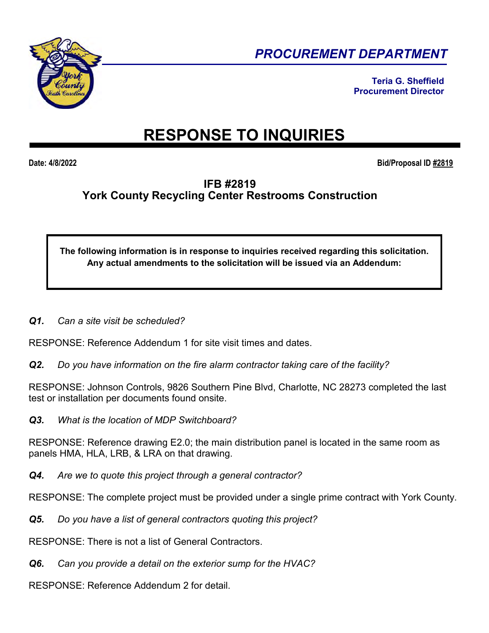

*PROCUREMENT DEPARTMENT* 

**Teria G. Sheffield Procurement Director** 

# **RESPONSE TO INQUIRIES**

**Date: 4/8/2022 Bid/Proposal ID #2819**

# **IFB #2819 York County Recycling Center Restrooms Construction**

**The following information is in response to inquiries received regarding this solicitation. Any actual amendments to the solicitation will be issued via an Addendum:** 

*Q1. Can a site visit be scheduled?* 

RESPONSE: Reference Addendum 1 for site visit times and dates.

*Q2. Do you have information on the fire alarm contractor taking care of the facility?* 

RESPONSE: Johnson Controls, 9826 Southern Pine Blvd, Charlotte, NC 28273 completed the last test or installation per documents found onsite.

*Q3. What is the location of MDP Switchboard?* 

RESPONSE: Reference drawing E2.0; the main distribution panel is located in the same room as panels HMA, HLA, LRB, & LRA on that drawing.

*Q4. Are we to quote this project through a general contractor?* 

RESPONSE: The complete project must be provided under a single prime contract with York County.

*Q5. Do you have a list of general contractors quoting this project?* 

RESPONSE: There is not a list of General Contractors.

*Q6. Can you provide a detail on the exterior sump for the HVAC?* 

RESPONSE: Reference Addendum 2 for detail.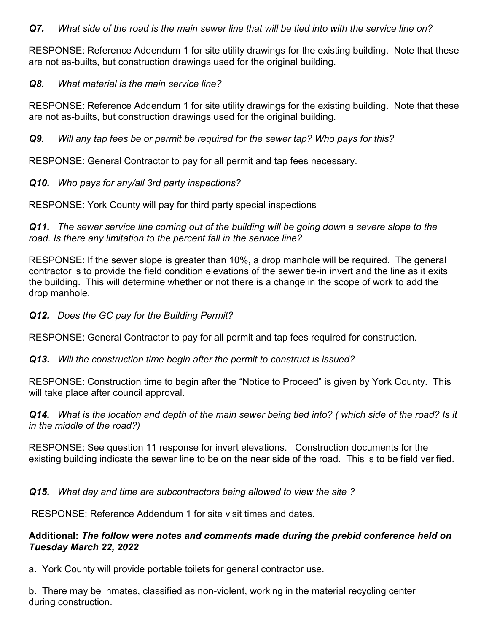# *Q7. What side of the road is the main sewer line that will be tied into with the service line on?*

RESPONSE: Reference Addendum 1 for site utility drawings for the existing building. Note that these are not as-builts, but construction drawings used for the original building.

#### *Q8. What material is the main service line?*

RESPONSE: Reference Addendum 1 for site utility drawings for the existing building. Note that these are not as-builts, but construction drawings used for the original building.

*Q9. Will any tap fees be or permit be required for the sewer tap? Who pays for this?* 

RESPONSE: General Contractor to pay for all permit and tap fees necessary.

# *Q10. Who pays for any/all 3rd party inspections?*

RESPONSE: York County will pay for third party special inspections

*Q11. The sewer service line coming out of the building will be going down a severe slope to the road. Is there any limitation to the percent fall in the service line?* 

RESPONSE: If the sewer slope is greater than 10%, a drop manhole will be required. The general contractor is to provide the field condition elevations of the sewer tie-in invert and the line as it exits the building. This will determine whether or not there is a change in the scope of work to add the drop manhole.

#### *Q12. Does the GC pay for the Building Permit?*

RESPONSE: General Contractor to pay for all permit and tap fees required for construction.

*Q13. Will the construction time begin after the permit to construct is issued?* 

RESPONSE: Construction time to begin after the "Notice to Proceed" is given by York County. This will take place after council approval.

*Q14. What is the location and depth of the main sewer being tied into? ( which side of the road? Is it in the middle of the road?)* 

RESPONSE: See question 11 response for invert elevations. Construction documents for the existing building indicate the sewer line to be on the near side of the road. This is to be field verified.

*Q15. What day and time are subcontractors being allowed to view the site ?* 

RESPONSE: Reference Addendum 1 for site visit times and dates.

# **Additional:** *The follow were notes and comments made during the prebid conference held on Tuesday March 22, 2022*

a. York County will provide portable toilets for general contractor use.

b. There may be inmates, classified as non-violent, working in the material recycling center during construction.